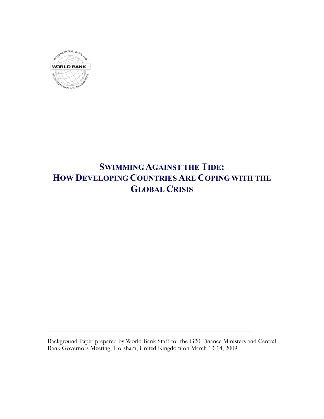

# **SWIMMINGAGAINST THE TIDE: HOW DEVELOPING COUNTRIES ARE COPING WITH THE GLOBAL CRISIS**

Background Paper prepared by World Bank Staff for the G20 Finance Ministers and Central Bank Governors Meeting, Horsham, United Kingdom on March 13-14, 2009.

 $\mathcal{L}_\text{max}$  and  $\mathcal{L}_\text{max}$  are the set of the set of the set of the set of the set of the set of the set of the set of the set of the set of the set of the set of the set of the set of the set of the set of the set o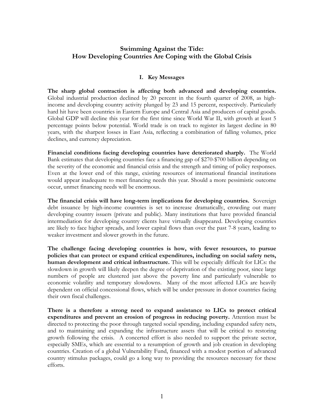## **Swimming Against the Tide: How Developing Countries Are Coping with the Global Crisis**

## **I. Key Messages**

**The sharp global contraction is affecting both advanced and developing countries.** Global industrial production declined by 20 percent in the fourth quarter of 2008, as highincome and developing country activity plunged by 23 and 15 percent, respectively. Particularly hard hit have been countries in Eastern Europe and Central Asia and producers of capital goods. Global GDP will decline this year for the first time since World War II, with growth at least 5 percentage points below potential. World trade is on track to register its largest decline in 80 years, with the sharpest losses in East Asia, reflecting a combination of falling volumes, price declines, and currency depreciation.

**Financial conditions facing developing countries have deteriorated sharply.** The World Bank estimates that developing countries face a financing gap of \$270-\$700 billion depending on the severity of the economic and financial crisis and the strength and timing of policy responses. Even at the lower end of this range, existing resources of international financial institutions would appear inadequate to meet financing needs this year. Should a more pessimistic outcome occur, unmet financing needs will be enormous.

**The financial crisis will have long-term implications for developing countries.** Sovereign debt issuance by high-income countries is set to increase dramatically, crowding out many developing country issuers (private and public). Many institutions that have provided financial intermediation for developing country clients have virtually disappeared. Developing countries are likely to face higher spreads, and lower capital flows than over the past 7-8 years, leading to weaker investment and slower growth in the future.

**The challenge facing developing countries is how, with fewer resources, to pursue policies that can protect or expand critical expenditures, including on social safety nets, human development and critical infrastructure.** This will be especially difficult for LICs: the slowdown in growth will likely deepen the degree of deprivation of the existing poor, since large numbers of people are clustered just above the poverty line and particularly vulnerable to economic volatility and temporary slowdowns. Many of the most affected LICs are heavily dependent on official concessional flows, which will be under pressure in donor countries facing their own fiscal challenges.

**There is a therefore a strong need to expand assistance to LICs to protect critical expenditures and prevent an erosion of progress in reducing poverty.** Attention must be directed to protecting the poor through targeted social spending, including expanded safety nets, and to maintaining and expanding the infrastructure assets that will be critical to restoring growth following the crisis. A concerted effort is also needed to support the private sector, especially SMEs, which are essential to a resumption of growth and job creation in developing countries. Creation of a global Vulnerability Fund, financed with a modest portion of advanced country stimulus packages, could go a long way to providing the resources necessary for these efforts.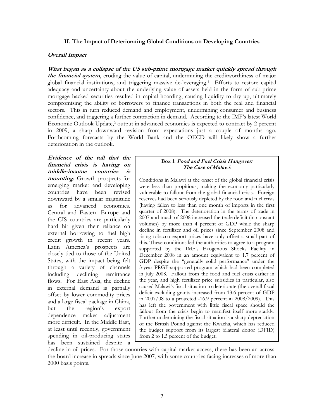#### **II. The Impact of Deteriorating Global Conditions on Developing Countries**

#### **Overall Impact**

**What began as a collapse of the US sub-prime mortgage market quickly spread through the financial system**, eroding the value of capital, undermining the creditworthiness of major global financial institutions, and triggering massive de-leveraging.1 Efforts to restore capital adequacy and uncertainty about the underlying value of assets held in the form of sub-prime mortgage backed securities resulted in capital hoarding, causing liquidity to dry up, ultimately compromising the ability of borrowers to finance transactions in both the real and financial sectors. This in turn reduced demand and employment, undermining consumer and business confidence, and triggering a further contraction in demand. According to the IMF's latest World Economic Outlook Update,2 output in advanced economies is expected to contract by 2 percent in 2009, a sharp downward revision from expectations just a couple of months ago. Forthcoming forecasts by the World Bank and the OECD will likely show a further deterioration in the outlook.

**Evidence of the toll that the financial crisis is having on middle-income countries is mounting.** Growth prospects for emerging market and developing countries have been revised downward by a similar magnitude as for advanced economies. Central and Eastern Europe and the CIS countries are particularly hard hit given their reliance on external borrowing to fuel high credit growth in recent years. Latin America's prospects are closely tied to those of the United States, with the impact being felt through a variety of channels including declining remittance flows. For East Asia, the decline in external demand is partially offset by lower commodity prices and a large fiscal package in China, but the region's export dependence makes adjustment more difficult. In the Middle East, at least until recently, government spending in oil-producing states has been sustained despite a

#### **Box 1**: **Food and Fuel Crisis Hangover: The Case of Malawi**:

Conditions in Malawi at the onset of the global financial crisis were less than propitious, making the economy particularly vulnerable to fallout from the global financial crisis. Foreign reserves had been seriously depleted by the food and fuel crisis (having fallen to less than one month of imports in the first quarter of 2008). The deterioration in the terms of trade in 2007 and much of 2008 increased the trade deficit (in constant volumes) by more than 4 percent of GDP while the sharp decline in fertilizer and oil prices since September 2008 and rising tobacco export prices have only offset a small part of this. These conditions led the authorities to agree to a program supported by the IMF's Exogenous Shocks Facility in December 2008 in an amount equivalent to 1.7 percent of GDP despite the "generally solid performance" under the 3-year PRGF-supported program which had been completed in July 2008. Fallout from the food and fuel crisis earlier in the year, and high fertilizer price subsidies in particular, also caused Malawi's fiscal situation to deteriorate (the overall fiscal deficit excluding grants increased from 13.6 percent of GDP in 2007/08 to a projected -16.9 percent in 2008/2009). This has left the government with little fiscal space should the fallout from the crisis begin to manifest itself more starkly. Further undermining the fiscal situation is a sharp depreciation of the British Pound against the Kwacha, which has reduced the budget support from its largest bilateral donor (DFID) from 2 to 1.5 percent of the budget.

decline in oil prices. For those countries with capital market access, there has been an acrossthe-board increase in spreads since June 2007, with some countries facing increases of more than 2000 basis points.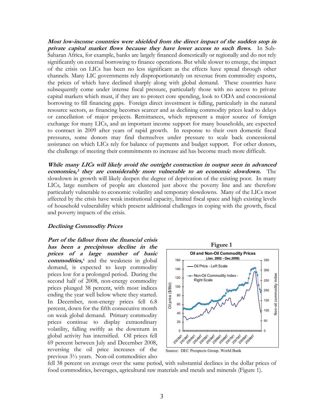**Most low-income countries were shielded from the direct impact of the sudden stop in private capital market flows because they have lower access to such flows.** In Sub-Saharan Africa, for example, banks are largely financed domestically or regionally and do not rely significantly on external borrowing to finance operations. But while slower to emerge, the impact of the crisis on LICs has been no less significant as the effects have spread through other channels. Many LIC governments rely disproportionately on revenue from commodity exports, the prices of which have declined sharply along with global demand. These countries have subsequently come under intense fiscal pressure, particularly those with no access to private capital markets which must, if they are to protect core spending, look to ODA and concessional borrowing to fill financing gaps. Foreign direct investment is falling, particularly in the natural resource sectors, as financing becomes scarcer and as declining commodity prices lead to delays or cancellation of major projects. Remittances, which represent a major source of foreign exchange for many LICs, and an important income support for many households, are expected to contract in 2009 after years of rapid growth. In response to their own domestic fiscal pressures, some donors may find themselves under pressure to scale back concessional assistance on which LICs rely for balance of payments and budget support. For other donors, the challenge of meeting their commitments to increase aid has become much more difficult.

**While many LICs will likely avoid the outright contraction in output seen in advanced economies, <sup>3</sup> they are considerably more vulnerable to an economic slowdown.** The slowdown in growth will likely deepen the degree of deprivation of the existing poor. In many LICs, large numbers of people are clustered just above the poverty line and are therefore particularly vulnerable to economic volatility and temporary slowdowns. Many of the LICs most affected by the crisis have weak institutional capacity, limited fiscal space and high existing levels of household vulnerability which present additional challenges in coping with the growth, fiscal and poverty impacts of the crisis.

#### **Declining Commodity Prices**

**Part of the fallout from the financial crisis has been a precipitous decline in the prices of a large number of basic commodities,** <sup>4</sup> and the weakness in global demand, is expected to keep commodity prices low for a prolonged period. During the second half of 2008, non-energy commodity prices plunged 38 percent, with most indices ending the year well below where they started. In December, non-energy prices fell 6.8 percent, down for the fifth consecutive month on weak global demand. Primary commodity prices continue to display extraordinary volatility, falling swiftly as the downturn in global activity has intensified. Oil prices fell 69 percent between July and December 2008, reversing the oil price increases of the previous 3½ years. Non-oil commodities also



Source: DEC Prospects Group, World Bank

fell 38 percent on average over the same period, with substantial declines in the dollar prices of food commodities, beverages, agricultural raw materials and metals and minerals (Figure 1).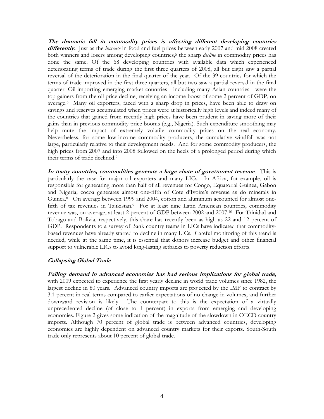**The dramatic fall in commodity prices is affecting different developing countries differently.** Just as the *increase* in food and fuel prices between early 2007 and mid 2008 created both winners and losers among developing countries,<sup>5</sup> the sharp *decline* in commodity prices has done the same. Of the 68 developing countries with available data which experienced deteriorating terms of trade during the first three quarters of 2008, all but eight saw a partial reversal of the deterioration in the final quarter of the year. Of the 39 countries for which the terms of trade improved in the first three quarters, all but two saw a partial reversal in the final quarter. Oil-importing emerging market countries—including many Asian countries—were the top gainers from the oil price decline, receiving an income boost of some 2 percent of GDP, on average.6 Many oil exporters, faced with a sharp drop in prices, have been able to draw on savings and reserves accumulated when prices were at historically high levels and indeed many of the countries that gained from recently high prices have been prudent in saving more of their gains than in previous commodity price booms (e.g., Nigeria). Such expenditure smoothing may help mute the impact of extremely volatile commodity prices on the real economy. Nevertheless, for some low-income commodity producers, the cumulative windfall was not large, particularly relative to their development needs. And for some commodity producers, the high prices from 2007 and into 2008 followed on the heels of a prolonged period during which their terms of trade declined.7

**In many countries, commodities generate a large share of government revenue**. This is particularly the case for major oil exporters and many LICs. In Africa, for example, oil is responsible for generating more than half of all revenues for Congo, Equatorial Guinea, Gabon and Nigeria; cocoa generates almost one-fifth of Cote d'Ivoire's revenue as do minerals in Guinea.<sup>8</sup> On average between 1999 and 2004, cotton and aluminum accounted for almost onefifth of tax revenues in Tajikistan.<sup>9</sup> For at least nine Latin American countries, commodity revenue was, on average, at least 2 percent of GDP between 2002 and 2007.10 For Trinidad and Tobago and Bolivia, respectively, this share has recently been as high as 22 and 12 percent of GDP. Respondents to a survey of Bank country teams in LICs have indicated that commoditybased revenues have already started to decline in many LICs. Careful monitoring of this trend is needed, while at the same time, it is essential that donors increase budget and other financial support to vulnerable LICs to avoid long-lasting setbacks to poverty reduction efforts.

## **Collapsing Global Trade**

**Falling demand in advanced economies has had serious implications for global trade,**  with 2009 expected to experience the first yearly decline in world trade volumes since 1982, the largest decline in 80 years. Advanced country imports are projected by the IMF to contract by 3.1 percent in real terms compared to earlier expectations of no change in volumes, and further downward revision is likely. The counterpart to this is the expectation of a virtually unprecedented decline (of close to 1 percent) in exports from emerging and developing economies. Figure 2 gives some indication of the magnitude of the slowdown in OECD country imports. Although 70 percent of global trade is between advanced countries, developing economies are highly dependent on advanced country markets for their exports. South-South trade only represents about 10 percent of global trade.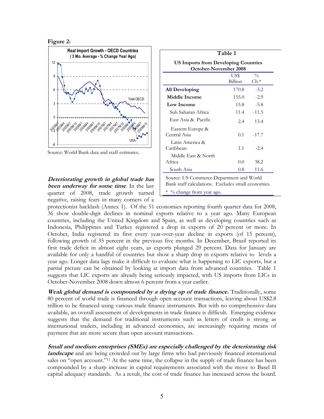**Figure 2:** 



Source: World Bank data and staff estimates.

**Deteriorating growth in global trade has been underway for some time**. In the last quarter of 2008, trade growth turned negative, raising fears in many corners of a

| Table 1<br>US Imports from Developing Countries<br>October-November 2008 |         |                 |
|--------------------------------------------------------------------------|---------|-----------------|
|                                                                          |         |                 |
|                                                                          | Billion | $\mathrm{Ch}^*$ |
| All Developing                                                           | 170.8   | $-3.2$          |
| <b>Middle Income</b>                                                     | 155.0   | $-2.9$          |
| Low Income                                                               | 15.8    | $-5.8$          |
| Sub Saharan Africa                                                       | 11.4    | $-11.5$         |
| East Asia & Pacific                                                      | 2.4     | 13.4            |
| Eastern Europe &<br>Central Asia                                         | 0.1     | $-17.7$         |
| Latin America &<br>Caribbean                                             | 1.1     | $-2.4$          |
| Middle East & North<br>Africa                                            | 0.0     | 38.2            |
| South Asia                                                               | 0.8     | 11.6            |

protectionist backlash (Annex 1). Of the 51 economies reporting fourth quarter data for 2008, 36 show double-digit declines in nominal exports relative to a year ago. Many European countries, including the United Kingdom and Spain, as well as developing countries such as Indonesia, Philippines and Turkey registered a drop in exports of 20 percent or more. In October, India registered its first every year-over-year decline in exports (of 15 percent), following growth of 35 percent in the previous five months. In December, Brazil reported its first trade deficit in almost eight years, as exports plunged 29 percent. Data for January are available for only a handful of countries but show a sharp drop in exports relative to levels a year ago. Longer data lags make it difficult to evaluate what is happening to LIC exports, but a partial picture can be obtained by looking at import data from advanced countries. Table 1 suggests that LIC exports are already being seriously impacted, with US imports from LICs in October-November 2008 down almost 6 percent from a year earlier.

**Weak global demand is compounded by <sup>a</sup> drying up of trade finance.** Traditionally, some 80 percent of world trade is financed through open account transactions, leaving about US\$2.8 trillion to be financed using various trade finance instruments. But with no comprehensive data available, an overall assessment of developments in trade finance is difficult. Emerging evidence suggests that the demand for traditional instruments such as letters of credit is strong as international traders, including in advanced economies, are increasingly requiring means of payment that are more secure than open account transactions.

**Small and medium enterprises (SMEs) are especially challenged by the deteriorating risk** *landscape* and are being crowded out by large firms who had previously financed international sales on "open account."<sup>11</sup> At the same time, the collapse in the supply of trade finance has been compounded by a sharp increase in capital requirements associated with the move to Basel II capital adequacy standards. As a result, the cost of trade finance has increased across the board.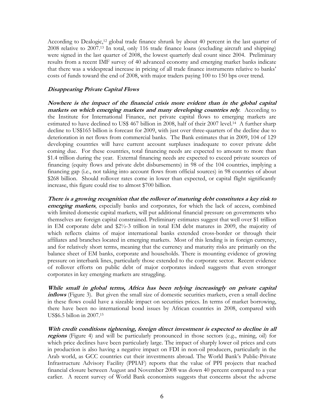According to Dealogic,12 global trade finance shrunk by about 40 percent in the last quarter of 2008 relative to 2007.13 In total, only 116 trade finance loans (excluding aircraft and shipping) were signed in the last quarter of 2008, the lowest quarterly deal count since 2004. Preliminary results from a recent IMF survey of 40 advanced economy and emerging market banks indicate that there was a widespread increase in pricing of all trade finance instruments relative to banks' costs of funds toward the end of 2008, with major traders paying 100 to 150 bps over trend.

### **Disappearing Private Capital Flows**

**Nowhere is the impact of the financial crisis more evident than in the global capital markets on which emerging markets and many developing countries rely**. According to the Institute for International Finance, net private capital flows to emerging markets are estimated to have declined to US\$ 467 billion in 2008, half of their 2007 level.14 A further sharp decline to US\$165 billion is forecast for 2009, with just over three-quarters of the decline due to deterioration in net flows from commercial banks. The Bank estimates that in 2009, 104 of 129 developing countries will have current account surpluses inadequate to cover private debt coming due. For these countries, total financing needs are expected to amount to more than \$1.4 trillion during the year. External financing needs are expected to exceed private sources of financing (equity flows and private debt disbursements) in 98 of the 104 countries, implying a financing gap (i.e., not taking into account flows from official sources) in 98 countries of about \$268 billion. Should rollover rates come in lower than expected, or capital flight significantly increase, this figure could rise to almost \$700 billion.

**There is a growing recognition that the rollover of maturing debt constitutes a key risk to emerging markets**, especially banks and corporates, for which the lack of access, combined with limited domestic capital markets, will put additional financial pressure on governments who themselves are foreign capital constrained. Preliminary estimates suggest that well over \$1 trillion in EM corporate debt and \$2½-3 trillion in total EM debt matures in 2009, the majority of which reflects claims of major international banks extended cross-border or through their affiliates and branches located in emerging markets. Most of this lending is in foreign currency, and for relatively short terms, meaning that the currency and maturity risks are primarily on the balance sheet of EM banks, corporate and households. There is mounting evidence of growing pressure on interbank lines, particularly those extended to the corporate sector. Recent evidence of rollover efforts on public debt of major corporates indeed suggests that even stronger corporates in key emerging markets are struggling.

**While small in global terms, Africa has been relying increasingly on private capital inflows** (Figure 3). But given the small size of domestic securities markets, even a small decline in these flows could have a sizeable impact on securities prices. In terms of market borrowing, there have been no international bond issues by African countries in 2008, compared with US\$6.5 billon in 2007.15

**With credit conditions tightening, foreign direct investment is expected to decline in all regions** (Figure 4) and will be particularly pronounced in those sectors (e.g., mining, oil) for which price declines have been particularly large. The impact of sharply lower oil prices and cuts in production is also having a negative impact on FDI in non-oil producers, particularly in the Arab world, as GCC countries cut their investments abroad. The World Bank's Public-Private Infrastructure Advisory Facility (PPIAF) reports that the value of PPI projects that reached financial closure between August and November 2008 was down 40 percent compared to a year earlier. A recent survey of World Bank economists suggests that concerns about the adverse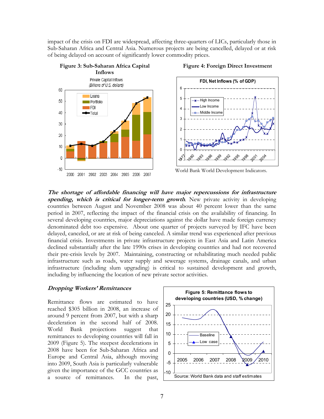impact of the crisis on FDI are widespread, affecting three-quarters of LICs, particularly those in Sub-Saharan Africa and Central Asia. Numerous projects are being cancelled, delayed or at risk of being delayed on account of significantly lower commodity prices.



**Figure 4: Foreign Direct Investment**



World Bank World Development Indicators.

**The shortage of affordable financing will have major repercussions for infrastructure spending, which is critical for longer-term growth**. New private activity in developing countries between August and November 2008 was about 40 percent lower than the same period in 2007, reflecting the impact of the financial crisis on the availability of financing. In several developing countries, major depreciations against the dollar have made foreign currency denominated debt too expensive. About one quarter of projects surveyed by IFC have been delayed, canceled, or are at risk of being canceled. A similar trend was experienced after previous financial crisis. Investments in private infrastructure projects in East Asia and Latin America declined substantially after the late 1990s crises in developing countries and had not recovered their pre-crisis levels by 2007. Maintaining, constructing or rehabilitating much needed public infrastructure such as roads, water supply and sewerage systems, drainage canals, and urban infrastructure (including slum upgrading) is critical to sustained development and growth, including by influencing the location of new private sector activities.

#### **Dropping Workers' Remittances**

Remittance flows are estimated to have reached \$305 billion in 2008, an increase of around 9 percent from 2007, but with a sharp deceleration in the second half of 2008. World Bank projections suggest that remittances to developing countries will fall in 2009 (Figure 5). The steepest decelerations in 2008 have been for Sub-Saharan Africa and Europe and Central Asia, although moving into 2009, South Asia is particularly vulnerable given the importance of the GCC countries as a source of remittances. In the past,

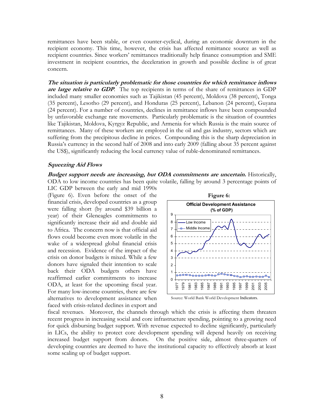remittances have been stable, or even counter-cyclical, during an economic downturn in the recipient economy. This time, however, the crisis has affected remittance source as well as recipient countries. Since workers' remittances traditionally help finance consumption and SME investment in recipient countries, the deceleration in growth and possible decline is of great concern.

**The situation is particularly problematic for those countries for which remittance inflows are large relative to GDP**. The top recipients in terms of the share of remittances in GDP included many smaller economies such as Tajikistan (45 percent), Moldova (38 percent), Tonga (35 percent), Lesotho (29 percent), and Honduras (25 percent), Lebanon (24 percent), Guyana (24 percent). For a number of countries, declines in remittance inflows have been compounded by unfavorable exchange rate movements. Particularly problematic is the situation of countries like Tajikistan, Moldova, Kyrgyz Republic, and Armenia for which Russia is the main source of remittances. Many of these workers are employed in the oil and gas industry, sectors which are suffering from the precipitous decline in prices. Compounding this is the sharp depreciation in Russia's currency in the second half of 2008 and into early 2009 (falling about 35 percent against the US\$), significantly reducing the local currency value of ruble-denominated remittances.

#### **Squeezing Aid Flows**

**Budget support needs are increasing, but ODA commitments are uncertain.** Historically, ODA to low income countries has been quite volatile, falling by around 3 percentage points of

LIC GDP between the early and mid 1990s (Figure 6). Even before the onset of the financial crisis, developed countries as a group were falling short (by around \$39 billion a year) of their Gleneagles commitments to significantly increase their aid and double aid to Africa. The concern now is that official aid flows could become even more volatile in the wake of a widespread global financial crisis and recession. Evidence of the impact of the crisis on donor budgets is mixed. While a few donors have signaled their intention to scale back their ODA budgets others have reaffirmed earlier commitments to increase ODA, at least for the upcoming fiscal year. For many low-income countries, there are few alternatives to development assistance when faced with crisis-related declines in export and





fiscal revenues. Moreover, the channels through which the crisis is affecting them threaten recent progress in increasing social and core infrastructure spending, pointing to a growing need for quick disbursing budget support. With revenue expected to decline significantly, particularly in LICs, the ability to protect core development spending will depend heavily on receiving increased budget support from donors. On the positive side, almost three-quarters of developing countries are deemed to have the institutional capacity to effectively absorb at least some scaling up of budget support.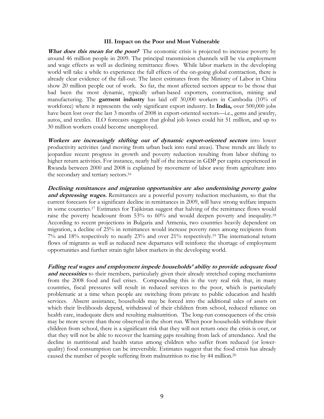#### **III. Impact on the Poor and Most Vulnerable**

**What does this mean for the poor?** The economic crisis is projected to increase poverty by around 46 million people in 2009. The principal transmission channels will be via employment and wage effects as well as declining remittance flows. While labor markets in the developing world will take a while to experience the full effects of the on-going global contraction, there is already clear evidence of the fall-out. The latest estimates from the Ministry of Labor in China show 20 million people out of work. So far, the most affected sectors appear to be those that had been the most dynamic, typically urban-based exporters, construction, mining and manufacturing. The **garment industry** has laid off 30,000 workers in Cambodia (10% of workforce) where it represents the only significant export industry. In **India,** over 500,000 jobs have been lost over the last 3 months of 2008 in export-oriented sectors—i.e., gems and jewelry, autos, and textiles. ILO forecasts suggest that global job losses could hit 51 million, and up to 30 million workers could become unemployed.

**Workers are increasingly shifting out of dynamic export-oriented sectors** into lower productivity activities (and moving from urban back into rural areas). These trends are likely to jeopardize recent progress in growth and poverty reduction resulting from labor shifting to higher return activities. For instance, nearly half of the increase in GDP per capita experienced in Rwanda between 2000 and 2008 is explained by movement of labor away from agriculture into the secondary and tertiary sectors.16

**Declining remittances and migration opportunities are also undermining poverty gains and depressing wages.** Remittances are a powerful poverty reduction mechanism, so that the current forecasts for a significant decline in remittances in 2009, will have strong welfare impacts in some countries.17 Estimates for Tajikistan suggest that halving of the remittance flows would raise the poverty headcount from 53% to 60% and would deepen poverty and inequality.<sup>18</sup> According to recent projections in Bulgaria and Armenia, two countries heavily dependent on migration, a decline of 25% in remittances would increase poverty rates among recipients from 7% and 18% respectively to nearly 23% and over 21% respectively.19 The international return flows of migrants as well as reduced new departures will reinforce the shortage of employment opportunities and further strain tight labor markets in the developing world.

**Falling real wages and employment impede households' ability to provide adequate food and necessities** to their members, particularly given their already stretched coping mechanisms from the 2008 food and fuel crises. Compounding this is the very real risk that, in many countries, fiscal pressures will result in reduced services to the poor, which is particularly problematic at a time when people are switching from private to public education and health services. Absent assistance, households may be forced into the additional sales of assets on which their livelihoods depend, withdrawal of their children from school, reduced reliance on health care, inadequate diets and resulting malnutrition. The long-run consequences of the crisis may be more severe than those observed in the short run. When poor households withdraw their children from school, there is a significant risk that they will not return once the crisis is over, or that they will not be able to recover the learning gaps resulting from lack of attendance. And the decline in nutritional and health status among children who suffer from reduced (or lowerquality) food consumption can be irreversible. Estimates suggest that the food crisis has already caused the number of people suffering from malnutrition to rise by 44 million. 20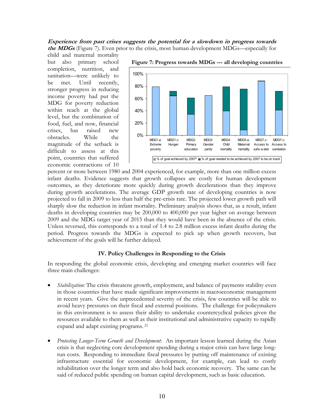#### **Experience from past crises suggests the potential for a slowdown in progress towards the MDGs** (Figure 7). Even prior to the crisis, most human development MDGs—especially for

child and maternal mortality but also primary school completion, nutrition, and sanitation—were unlikely to be met. Until recently, stronger progress in reducing income poverty had put the MDG for poverty reduction within reach at the global level, but the combination of food, fuel, and now, financial crises, has raised new obstacles. While the magnitude of the setback is difficult to assess at this point, countries that suffered economic contractions of 10



**Figure 7: Progress towards MDGs --- all developing countries** 

percent or more between 1980 and 2004 experienced, for example, more than one million excess infant deaths. Evidence suggests that growth collapses are costly for human development outcomes, as they deteriorate more quickly during growth decelerations than they improve during growth accelerations. The average GDP growth rate of developing countries is now projected to fall in 2009 to less than half the pre-crisis rate. The projected lower growth path will sharply slow the reduction in infant mortality. Preliminary analysis shows that, as a result, infant deaths in developing countries may be 200,000 to 400,000 per year higher on average between 2009 and the MDG target year of 2015 than they would have been in the absence of the crisis. Unless reversed, this corresponds to a total of 1.4 to 2.8 million excess infant deaths during the period. Progress towards the MDGs is expected to pick up when growth recovers, but achievement of the goals will be further delayed.

#### **IV. Policy Challenges in Responding to the Crisis**

In responding the global economic crisis, developing and emerging market countries will face three main challenges:

- ! *Stabilization:* The crisis threatens growth, employment, and balance of payments stability even in those countries that have made significant improvements in macroeconomic management in recent years. Give the unprecedented severity of the crisis, few countries will be able to avoid heavy pressures on their fiscal and external positions. The challenge for policymakers in this environment is to assess their ability to undertake countercyclical policies given the resources available to them as well as their institutional and administrative capacity to rapidly expand and adapt existing programs. 21
- ! *Protecting Longer-Term Growth and Development*: An important lesson learned during the Asian crisis is that neglecting core development spending during a major crisis can have large longrun costs. Responding to immediate fiscal pressures by putting off maintenance of existing infrastructure essential for economic development, for example, can lead to costly rehabilitation over the longer term and also hold back economic recovery. The same can be said of reduced public spending on human capital development, such as basic education.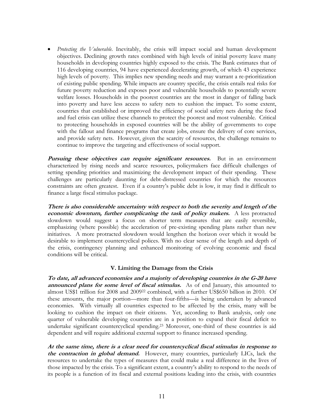*Protecting the Vulnerable.* Inevitably, the crisis will impact social and human development objectives. Declining growth rates combined with high levels of initial poverty leave many households in developing countries highly exposed to the crisis. The Bank estimates that of 116 developing countries, 94 have experienced decelerating growth, of which 43 experience high levels of poverty. This implies new spending needs and may warrant a re-prioritization of existing public spending. While impacts are country specific, the crisis entails real risks for future poverty reduction and exposes poor and vulnerable households to potentially severe welfare losses. Households in the poorest countries are the most in danger of falling back into poverty and have less access to safety nets to cushion the impact. To some extent, countries that established or improved the efficiency of social safety nets during the food and fuel crisis can utilize these channels to protect the poorest and most vulnerable. Critical to protecting households in exposed countries will be the ability of governments to cope with the fallout and finance programs that create jobs, ensure the delivery of core services, and provide safety nets. However, given the scarcity of resources, the challenge remains to continue to improve the targeting and effectiveness of social support.

**Pursuing these objectives can require significant resources.** But in an environment characterized by rising needs and scarce resources, policymakers face difficult challenges of setting spending priorities and maximizing the development impact of their spending. These challenges are particularly daunting for debt-distressed countries for which the resources constraints are often greatest. Even if a country's public debt is low, it may find it difficult to finance a large fiscal stimulus package.

**There is also considerable uncertainty with respect to both the severity and length of the economic downturn, further complicating the task of policy makers.** A less protracted slowdown would suggest a focus on shorter term measures that are easily reversible, emphasizing (where possible) the acceleration of pre-existing spending plans rather than new initiatives. A more protracted slowdown would lengthen the horizon over which it would be desirable to implement countercyclical polices. With no clear sense of the length and depth of the crisis, contingency planning and enhanced monitoring of evolving economic and fiscal conditions will be critical.

#### **V. Limiting the Damage from the Crisis**

**To date, all advanced economies and a majority of developing countries in the G-20 have announced plans for some level of fiscal stimulus.** As of end January, this amounted to almost US\$1 trillion for 2008 and 200922 combined, with a further US\$650 billion in 2010. Of these amounts, the major portion—more than four-fifths—is being undertaken by advanced economies. With virtually all countries expected to be affected by the crisis, many will be looking to cushion the impact on their citizens. Yet, according to Bank analysis, only one quarter of vulnerable developing countries are in a position to expand their fiscal deficit to undertake significant countercyclical spending.23 Moreover, one-third of these countries is aid dependent and will require additional external support to finance increased spending.

**At the same time, there is a clear need for countercyclical fiscal stimulus in response to the contraction in global demand.** However, many countries, particularly LICs, lack the resources to undertake the types of measures that could make a real difference in the lives of those impacted by the crisis. To a significant extent, a country's ability to respond to the needs of its people is a function of its fiscal and external positions leading into the crisis, with countries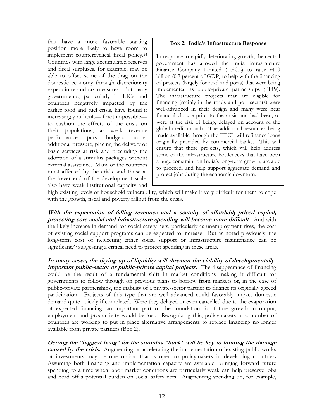that have a more favorable starting position more likely to have room to implement countercyclical fiscal policy. 24 Countries with large accumulated reserves and fiscal surpluses, for example, may be able to offset some of the drag on the domestic economy through discretionary expenditure and tax measures. But many governments, particularly in LICs and countries negatively impacted by the earlier food and fuel crisis, have found it increasingly difficult—if not impossible to cushion the effects of the crisis on their populations, as weak revenue performance puts budgets under additional pressure, placing the delivery of basic services at risk and precluding the adoption of a stimulus packages without external assistance. Many of the countries most affected by the crisis, and those at the lower end of the development scale, also have weak institutional capacity and

#### **Box 2: India's Infrastructure Response**

In response to rapidly deteriorating growth, the central government has allowed the India Infrastructure Finance Company Limited (IIFCL) to raise r400 billion (0.7 percent of GDP) to help with the financing of projects (largely for road and ports) that were being implemented as public-private partnerships (PPPs). The infrastructure projects that are eligible for financing (mainly in the roads and port sectors) were well-advanced in their design and many were near financial closure prior to the crisis and had been, or were at the risk of being, delayed on account of the global credit crunch. The additional resources being made available through the IIFCL will refinance loans originally provided by commercial banks. This will ensure that these projects, which will help address some of the infrastructure bottlenecks that have been a huge constraint on India's long-term growth, are able to proceed, and help support aggregate demand and protect jobs during the economic downturn.

high existing levels of household vulnerability, which will make it very difficult for them to cope with the growth, fiscal and poverty fallout from the crisis.

**With the expectation of falling revenues and a scarcity of affordably-priced capital, protecting core social and infrastructure spending will become more difficult**. And with the likely increase in demand for social safety nets, particularly as unemployment rises, the cost of existing social support programs can be expected to increase. But as noted previously, the long-term cost of neglecting either social support or infrastructure maintenance can be significant, 25 suggesting a critical need to protect spending in these areas.

**In many cases, the drying up of liquidity will threaten the viability of developmentallyimportant public-sector or public-private capital projects.** The disappearance of financing could be the result of a fundamental shift in market conditions making it difficult for governments to follow through on previous plans to borrow from markets or, in the case of public-private partnerships, the inability of a private-sector partner to finance its originally agreed participation. Projects of this type that are well advanced could favorably impact domestic demand quite quickly if completed. Were they delayed or even cancelled due to the evaporation of expected financing, an important part of the foundation for future growth in output, employment and productivity would be lost. Recognizing this, policymakers in a number of countries are working to put in place alternative arrangements to replace financing no longer available from private partners (Box 2).

**Getting the "biggest bang" for the stimulus "buck" will be key to limiting the damage** *caused by the crisis.* Augmenting or accelerating the implementation of existing public works or investments may be one option that is open to policymakers in developing countries**.** Assuming both financing and implementation capacity are available, bringing forward future spending to a time when labor market conditions are particularly weak can help preserve jobs and head off a potential burden on social safety nets. Augmenting spending on, for example,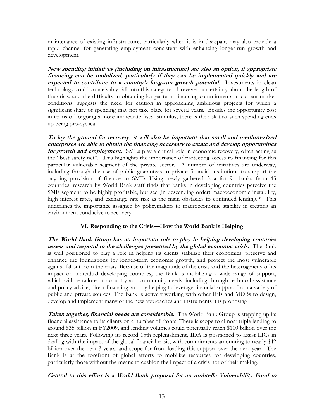maintenance of existing infrastructure, particularly when it is in disrepair, may also provide a rapid channel for generating employment consistent with enhancing longer-run growth and development.

**New spending initiatives (including on infrastructure) are also an option, if appropriate financing can be mobilized, particularly if they can be implemented quickly and are expected to contribute to a country's long-run growth potential.** Investments in clean technology could conceivably fall into this category. However, uncertainty about the length of the crisis, and the difficulty in obtaining longer-term financing commitments in current market conditions, suggests the need for caution in approaching ambitious projects for which a significant share of spending may not take place for several years. Besides the opportunity cost in terms of forgoing a more immediate fiscal stimulus, there is the risk that such spending ends up being pro-cyclical.

**To lay the ground for recovery, it will also be important that small and medium-sized enterprises are able to obtain the financing necessary to create and develop opportunities for growth and employment.** SMEs play a critical role in economic recovery, often acting as the "best safety net". This highlights the importance of protecting access to financing for this particular vulnerable segment of the private sector. A number of initiatives are underway, including through the use of public guarantees to private financial institutions to support the ongoing provision of finance to SMEs Using newly gathered data for 91 banks from 45 countries, research by World Bank staff finds that banks in developing countries perceive the SME segment to be highly profitable, but see (in descending order) macroeconomic instability, high interest rates, and exchange rate risk as the main obstacles to continued lending.<sup>26</sup> This underlines the importance assigned by policymakers to macroeconomic stability in creating an environment conducive to recovery.

#### **VI. Responding to the Crisis—How the World Bank is Helping**

**The World Bank Group has an important role to play in helping developing countries assess and respond to the challenges presented by the global economic crisis.** The Bank is well positioned to play a role in helping its clients stabilize their economies, preserve and enhance the foundations for longer-term economic growth, and protect the most vulnerable against fallout from the crisis. Because of the magnitude of the crisis and the heterogeneity of its impact on individual developing countries, the Bank is mobilizing a wide range of support, which will be tailored to country and community needs, including through technical assistance and policy advice, direct financing, and by helping to leverage financial support from a variety of public and private sources. The Bank is actively working with other IFIs and MDBs to design, develop and implement many of the new approaches and instruments it is proposing

**Taken together, financial needs are considerable.** The World Bank Group is stepping up its financial assistance to its clients on a number of fronts. There is scope to almost triple lending to around \$35 billion in FY2009, and lending volumes could potentially reach \$100 billion over the next three years. Following its record 15th replenishment, IDA is positioned to assist LICs in dealing with the impact of the global financial crisis, with commitments amounting to nearly \$42 billion over the next 3 years, and scope for front-loading this support over the next year. The Bank is at the forefront of global efforts to mobilize resources for developing countries, particularly those without the means to cushion the impact of a crisis not of their making.

## **Central to this effort is a World Bank proposal for an umbrella Vulnerability Fund to**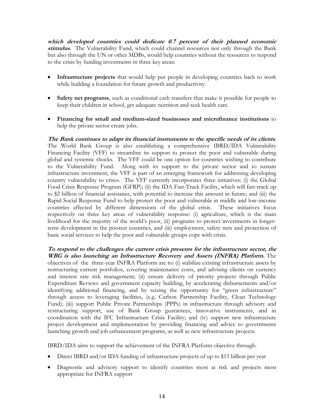**which developed countries could dedicate 0.7 percent of their planned economic stimulus**. The Vulnerability Fund, which could channel resources not only through the Bank but also through the UN or other MDBs, would help countries without the resources to respond to the crisis by funding investments in three key areas:

- ! **Infrastructure projects** that would help put people in developing countries back to work while building a foundation for future growth and productivity.
- ! **Safety net programs**, such as conditional cash transfers that make it possible for people to keep their children in school, get adequate nutrition and seek health care.
- ! **Financing for small and medium-sized businesses and microfinance institutions** to help the private sector create jobs.

**The Bank continues to adapt its financial instruments to the specific needs of its clients**. The World Bank Group is also establishing a comprehensive IBRD/IDA Vulnerability Financing Facility (VFF) to streamline its support to protect the poor and vulnerable during global and systemic shocks. The VFF could be one option for countries wishing to contribute to the Vulnerability Fund. Along with its support to the private sector and to sustain infrastructure investment, the VFF is part of an emerging framework for addressing developing country vulnerability to crises. The VFF currently incorporates three initiatives: (i) the Global Food Crisis Response Program (GFRP); (ii) the IDA Fast-Track Facility, which will fast-track up to \$2 billion of financial assistance, with potential to increase this amount in future; and (iii) the Rapid Social Response Fund to help protect the poor and vulnerable in middle and low-income countries affected by different dimensions of the global crisis. These initiatives focus respectively on three key areas of vulnerability response: (i) agriculture, which is the main livelihood for the majority of the world's poor, (ii) programs to protect investments in longerterm development in the poorest countries, and (iii) employment, safety nets and protection of basic social services to help the poor and vulnerable groups cope with crisis.

**To respond to the challenges the current crisis presents for the infrastructure sector, the WBG is also launching an Infrastructure Recovery and Assets (INFRA) Platform.** The objectives of the three-year INFRA Platform are to: (i) stabilize existing infrastructure assets by restructuring current portfolios, covering maintenance costs, and advising clients on currency and interest rate risk management; (ii) ensure delivery of priority projects through Public Expenditure Reviews and government capacity building, by accelerating disbursements and/or identifying additional financing, and by seizing the opportunity for "green infrastructure" through access to leveraging facilities, (e.g. Carbon Partnership Facility, Clean Technology Fund); (iii) support Public Private Partnerships (PPPs) in infrastructure through advisory and restructuring support, use of Bank Group guarantees, innovative instruments, and in coordination with the IFC Infrastructure Crisis Facility; and (iv) support new infrastructure project development and implementation by providing financing and advice to governments launching growth and job enhancement programs, as well as new infrastructure projects.

IBRD/IDA aims to support the achievement of the INFRA Platform objective through.

- ! Direct IBRD and/or IDA funding of infrastructure projects of up to \$15 billion per year
- Diagnostic and advisory support to identify countries most at risk and projects most appropriate for INFRA support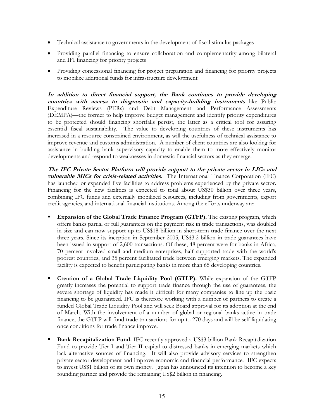- ! Technical assistance to governments in the development of fiscal stimulus packages
- ! Providing parallel financing to ensure collaboration and complementarity among bilateral and IFI financing for priority projects
- ! Providing concessional financing for project preparation and financing for priority projects to mobilize additional funds for infrastructure development

**In addition to direct financial support, the Bank continues to provide developing countries with access to diagnostic and capacity-building instruments** like Public Expenditure Reviews (PERs) and Debt Management and Performance Assessments (DEMPA)—the former to help improve budget management and identify priority expenditures to be protected should financing shortfalls persist, the latter as a critical tool for assuring essential fiscal sustainability. The value to developing countries of these instruments has increased in a resource constrained environment, as will the usefulness of technical assistance to improve revenue and customs administration. A number of client countries are also looking for assistance in building bank supervisory capacity to enable them to more effectively monitor developments and respond to weaknesses in domestic financial sectors as they emerge.

**The IFC Private Sector Platform will provide support to the private sector in LICs and vulnerable MICs for crisis-related activities.** The International Finance Corporation (IFC) has launched or expanded five facilities to address problems experienced by the private sector. Financing for the new facilities is expected to total about US\$30 billion over three years, combining IFC funds and externally mobilized resources, including from governments, export credit agencies, and international financial institutions. Among the efforts underway are:

- **Expansion of the Global Trade Finance Program (GTFP).** The existing program, which offers banks partial or full guarantees on the payment risk in trade transactions, was doubled in size and can now support up to US\$18 billion in short-term trade finance over the next three years. Since its inception in September 2005, US\$3.2 billion in trade guarantees have been issued in support of 2,600 transactions. Of these, 48 percent were for banks in Africa, 70 percent involved small and medium enterprises, half supported trade with the world's poorest countries, and 35 percent facilitated trade between emerging markets. The expanded facility is expected to benefit participating banks in more than 65 developing countries.
- ! **Creation of a Global Trade Liquidity Pool (GTLP).** While expansion of the GTFP greatly increases the potential to support trade finance through the use of guarantees, the severe shortage of liquidity has made it difficult for many companies to line up the basic financing to be guaranteed. IFC is therefore working with a number of partners to create a funded Global Trade Liquidity Pool and will seek Board approval for its adoption at the end of March. With the involvement of a number of global or regional banks active in trade finance, the GTLP will fund trade transactions for up to 270 days and will be self liquidating once conditions for trade finance improve.
- **Bank Recapitalization Fund.** IFC recently approved a US\$3 billion Bank Recapitalization Fund to provide Tier I and Tier II capital to distressed banks in emerging markets which lack alternative sources of financing. It will also provide advisory services to strengthen private sector development and improve economic and financial performance. IFC expects to invest US\$1 billion of its own money. Japan has announced its intention to become a key founding partner and provide the remaining US\$2 billion in financing.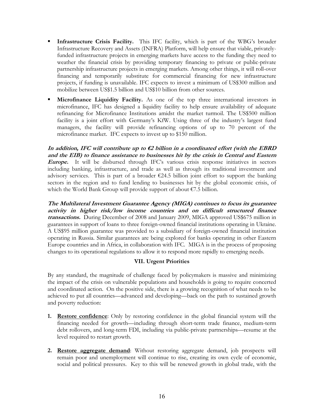- ! **Infrastructure Crisis Facility.** This IFC facility, which is part of the WBG's broader Infrastructure Recovery and Assets (INFRA) Platform, will help ensure that viable, privatelyfunded infrastructure projects in emerging markets have access to the funding they need to weather the financial crisis by providing temporary financing to private or public-private partnership infrastructure projects in emerging markets. Among other things, it will roll-over financing and temporarily substitute for commercial financing for new infrastructure projects, if funding is unavailable. IFC expects to invest a minimum of US\$300 million and mobilize between US\$1.5 billion and US\$10 billion from other sources.
- ! **Microfinance Liquidity Facility.** As one of the top three international investors in microfinance, IFC has designed a liquidity facility to help ensure availability of adequate refinancing for Microfinance Institutions amidst the market turmoil. The US\$500 million facility is a joint effort with Germany's KfW. Using three of the industry's largest fund managers, the facility will provide refinancing options of up to 70 percent of the microfinance market. IFC expects to invest up to \$150 million.

**In addition, IFC will contribute up to €2 billion in a coordinated effort (with the EBRD and the EIB) to finance assistance to businesses hit by the crisis in Central and Eastern Europe.** It will be disbursed through IFC's various crisis response initiatives in sectors including banking, infrastructure, and trade as well as through its traditional investment and advisory services. This is part of a broader  $\epsilon$ 24.5 billion joint effort to support the banking sectors in the region and to fund lending to businesses hit by the global economic crisis, of which the World Bank Group will provide support of about €7.5 billion.

**The Multilateral Investment Guarantee Agency (MIGA) continues to focus its guarantee activity in higher risk/low income countries and on difficult structured finance transactions.** During December of 2008 and January 2009, MIGA approved US\$675 million in guarantees in support of loans to three foreign-owned financial institutions operating in Ukraine. A US\$95 million guarantee was provided to a subsidiary of foreign-owned financial institution operating in Russia. Similar guarantees are being explored for banks operating in other Eastern Europe countries and in Africa, in collaboration with IFC. MIGA is in the process of proposing changes to its operational regulations to allow it to respond more rapidly to emerging needs.

## **VII. Urgent Priorities**

By any standard, the magnitude of challenge faced by policymakers is massive and minimizing the impact of the crisis on vulnerable populations and households is going to require concerted and coordinated action. On the positive side, there is a growing recognition of what needs to be achieved to put all countries—advanced and developing—back on the path to sustained growth and poverty reduction:

- **1. Restore confidence**: Only by restoring confidence in the global financial system will the financing needed for growth—including through short-term trade finance, medium-term debt rollovers, and long-term FDI, including via public-private partnerships—resume at the level required to restart growth.
- **2. Restore aggregate demand**: Without restoring aggregate demand, job prospects will remain poor and unemployment will continue to rise, creating its own cycle of economic, social and political pressures. Key to this will be renewed growth in global trade, with the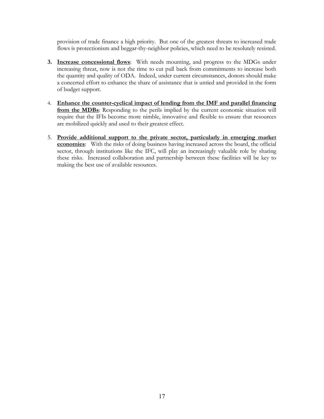provision of trade finance a high priority. But one of the greatest threats to increased trade flows is protectionism and beggar-thy-neighbor policies, which need to be resolutely resisted.

- **3. Increase concessional flows**: With needs mounting, and progress to the MDGs under increasing threat, now is not the time to cut pull back from commitments to increase both the quantity and quality of ODA. Indeed, under current circumstances, donors should make a concerted effort to enhance the share of assistance that is untied and provided in the form of budget support.
- 4. **Enhance the counter-cyclical impact of lending from the IMF and parallel financing from the MDBs**: Responding to the perils implied by the current economic situation will require that the IFIs become more nimble, innovative and flexible to ensure that resources are mobilized quickly and used to their greatest effect.
- 5. **Provide additional support to the private sector, particularly in emerging market economies**: With the risks of doing business having increased across the board, the official sector, through institutions like the IFC, will play an increasingly valuable role by sharing these risks. Increased collaboration and partnership between these facilities will be key to making the best use of available resources.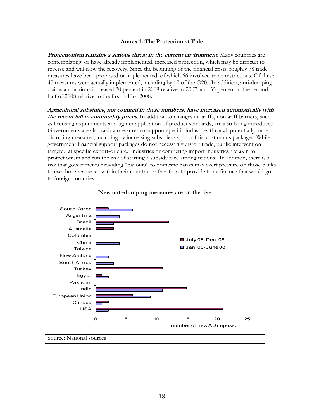#### **Annex 1: The Protectionist Tide**

**Protectionism remains a serious threat in the current environment.** Many countries are contemplating, or have already implemented, increased protection, which may be difficult to reverse and will slow the recovery. Since the beginning of the financial crisis, roughly 78 trade measures have been proposed or implemented, of which 66 involved trade restrictions. Of these, 47 measures were actually implemented, including by 17 of the G20. In addition, anti-dumping claims and actions increased 20 percent in 2008 relative to 2007; and 55 percent in the second half of 2008 relative to the first half of 2008.

**Agricultural subsidies, not counted in these numbers, have increased automatically with the recent fall in commodity prices**. In addition to changes in tariffs, nontariff barriers, such as licensing requirements and tighter application of product standards, are also being introduced. Governments are also taking measures to support specific industries through potentially tradedistorting measures, including by increasing subsidies as part of fiscal stimulus packages. While government financial support packages do not necessarily distort trade, public intervention targeted at specific export-oriented industries or competing import industries are akin to protectionism and run the risk of starting a subsidy race among nations. In addition, there is a risk that governments providing "bailouts" to domestic banks may exert pressure on those banks to use those resources within their countries rather than to provide trade finance that would go to foreign countries.

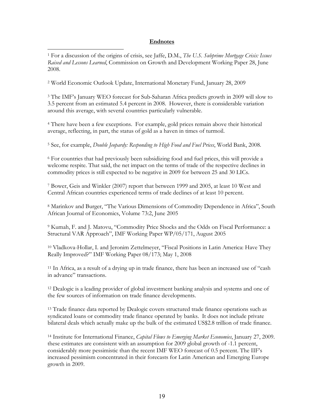#### **Endnotes**

1 For a discussion of the origins of crisis, see Jaffe, D.M., *The U.S. Subprime Mortgage Crisis: Issues Raised and Lessons Learned*, Commission on Growth and Development Working Paper 28, June 2008.

2 World Economic Outlook Update, International Monetary Fund, January 28, 2009

 $\overline{a}$ 

3 The IMF's January WEO forecast for Sub-Saharan Africa predicts growth in 2009 will slow to 3.5 percent from an estimated 5.4 percent in 2008. However, there is considerable variation around this average, with several countries particularly vulnerable.

4 There have been a few exceptions. For example, gold prices remain above their historical average, reflecting, in part, the status of gold as a haven in times of turmoil.

5 See, for example, *Double Jeopardy: Responding to High Food and Fuel Prices*, World Bank, 2008.

6 For countries that had previously been subsidizing food and fuel prices, this will provide a welcome respite. That said, the net impact on the terms of trade of the respective declines in commodity prices is still expected to be negative in 2009 for between 25 and 30 LICs.

7 Bower, Geis and Winkler (2007) report that between 1999 and 2005, at least 10 West and Central African countries experienced terms of trade declines of at least 10 percent.

8 Marinkov and Burger, "The Various Dimensions of Commodity Dependence in Africa", South African Journal of Economics, Volume 73:2, June 2005

9 Kumah, F. and J. Matovu, "Commodity Price Shocks and the Odds on Fiscal Performance: a Structural VAR Approach", IMF Working Paper WP/05/171, August 2005

10 Vladkova-Hollar, I. and Jeronim Zettelmeyer, "Fiscal Positions in Latin America: Have They Really Improved?" IMF Working Paper 08/173; May 1, 2008

11 In Africa, as a result of a drying up in trade finance, there has been an increased use of "cash in advance" transactions.

12 Dealogic is a leading provider of global investment banking analysis and systems and one of the few sources of information on trade finance developments.

<sup>13</sup> Trade finance data reported by Dealogic covers structured trade finance operations such as syndicated loans or commodity trade finance operated by banks. It does not include private bilateral deals which actually make up the bulk of the estimated US\$2.8 trillion of trade finance.

<sup>14</sup> Institute for International Finance, *Capital Flows to Emerging Market Economies*, January 27, 2009. these estimates are consistent with an assumption for 2009 global growth of -1.1 percent, considerably more pessimistic than the recent IMF WEO forecast of 0.5 percent. The IIF's increased pessimism concentrated in their forecasts for Latin American and Emerging Europe growth in 2009.